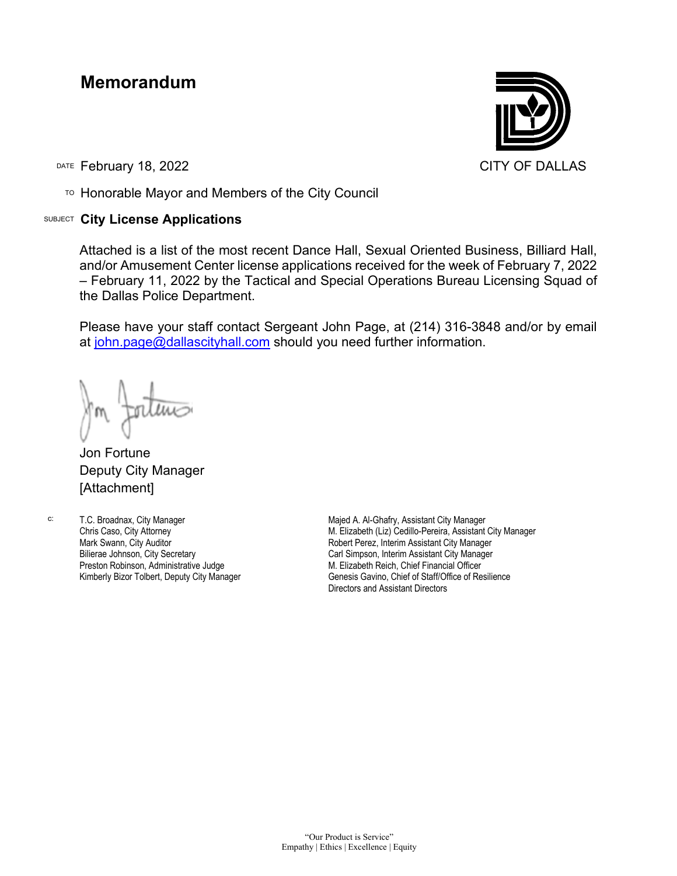## **Memorandum**

DATE February 18, 2022 **CITY OF DALLAS** 

TO Honorable Mayor and Members of the City Council

## SUBJECT **City License Applications**



Attached is a list of the most recent Dance Hall, Sexual Oriented Business, Billiard Hall, and/or Amusement Center license applications received for the week of February 7, 2022 – February 11, 2022 by the Tactical and Special Operations Bureau Licensing Squad of the Dallas Police Department.

Please have your staff contact Sergeant John Page, at (214) 316-3848 and/or by email at [john.page@dallascityhall.com](mailto:john.page@dallascityhall.com) should you need further information.

Jon Fortune Deputy City Manager [Attachment]

c: T.C. Broadnax, City Manager Chris Caso, City Attorney Mark Swann, City Auditor Bilierae Johnson, City Secretary Preston Robinson, Administrative Judge Kimberly Bizor Tolbert, Deputy City Manager

Majed A. Al-Ghafry, Assistant City Manager M. Elizabeth (Liz) Cedillo-Pereira, Assistant City Manager Robert Perez, Interim Assistant City Manager Carl Simpson, Interim Assistant City Manager M. Elizabeth Reich, Chief Financial Officer Genesis Gavino, Chief of Staff/Office of Resilience Directors and Assistant Directors